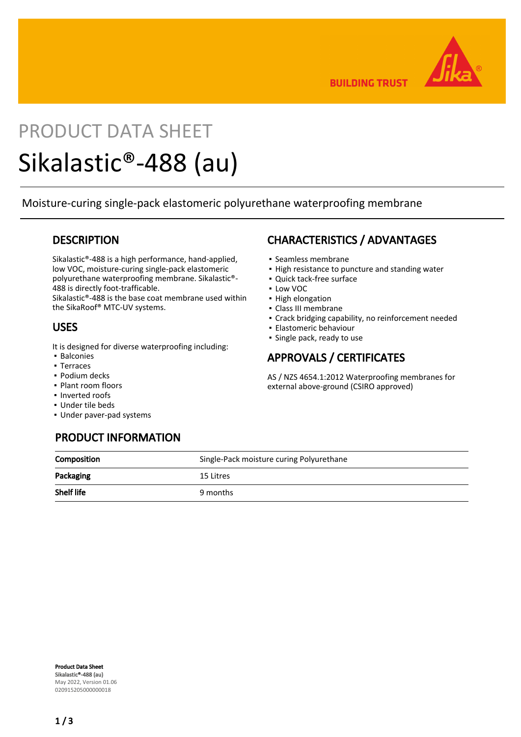

**BUILDING TRUST** 

# PRODUCT DATA SHEET Sikalastic®-488 (au)

Moisture-curing single-pack elastomeric polyurethane waterproofing membrane

#### **DESCRIPTION**

Sikalastic®-488 is a high performance, hand-applied, low VOC, moisture-curing single-pack elastomeric polyurethane waterproofing membrane. Sikalastic®- 488 is directly foot-trafficable.

Sikalastic®-488 is the base coat membrane used within the SikaRoof® MTC-UV systems.

#### USES

It is designed for diverse waterproofing including:

- Balconies
- Terraces
- Podium decks
- Plant room floors
- Inverted roofs
- Under tile beds
- Under paver-pad systems

# CHARACTERISTICS / ADVANTAGES

- Seamless membrane
- **.** High resistance to puncture and standing water
- Quick tack-free surface
- Low VOC
- **· High elongation**
- Class III membrane
- Crack bridging capability, no reinforcement needed
- **Elastomeric behaviour**
- Single pack, ready to use

## APPROVALS / CERTIFICATES

AS / NZS 4654.1:2012 Waterproofing membranes for external above-ground (CSIRO approved)

| <b>PRODUCT INFORMATION</b> |                                          |
|----------------------------|------------------------------------------|
| Composition                | Single-Pack moisture curing Polyurethane |
|                            |                                          |

| <u>soniposition</u> | <b>Strike Fack moistard carmig Forgandmand</b> |
|---------------------|------------------------------------------------|
| Packaging           | 15 Litres                                      |
| <b>Shelf life</b>   | 9 months                                       |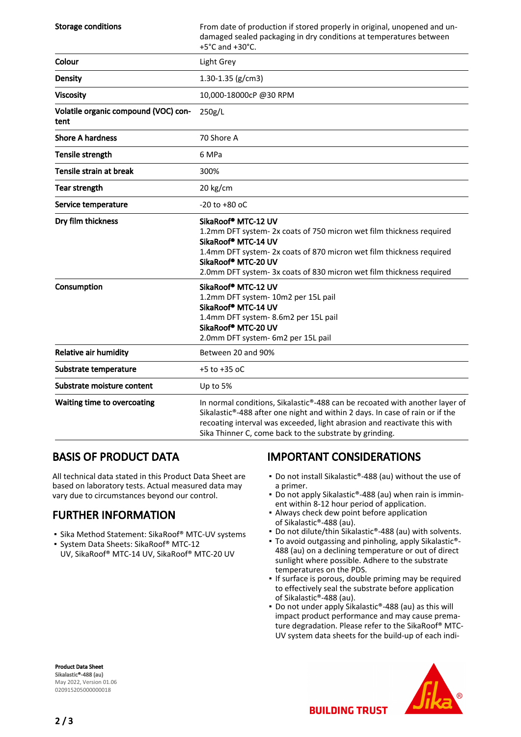| <b>Storage conditions</b>                    | From date of production if stored properly in original, unopened and un-<br>damaged sealed packaging in dry conditions at temperatures between<br>+5°C and +30°C.                                                                                                                                  |
|----------------------------------------------|----------------------------------------------------------------------------------------------------------------------------------------------------------------------------------------------------------------------------------------------------------------------------------------------------|
| Colour                                       | Light Grey                                                                                                                                                                                                                                                                                         |
| Density                                      | 1.30-1.35 ( $g/cm3$ )                                                                                                                                                                                                                                                                              |
| <b>Viscosity</b>                             | 10,000-18000cP@30RPM                                                                                                                                                                                                                                                                               |
| Volatile organic compound (VOC) con-<br>tent | 250g/L                                                                                                                                                                                                                                                                                             |
| <b>Shore A hardness</b>                      | 70 Shore A                                                                                                                                                                                                                                                                                         |
| Tensile strength                             | 6 MPa                                                                                                                                                                                                                                                                                              |
| Tensile strain at break                      | 300%                                                                                                                                                                                                                                                                                               |
| <b>Tear strength</b>                         | 20 kg/cm                                                                                                                                                                                                                                                                                           |
| Service temperature                          | $-20$ to $+80$ oC                                                                                                                                                                                                                                                                                  |
| Dry film thickness                           | SikaRoof® MTC-12 UV<br>1.2mm DFT system-2x coats of 750 micron wet film thickness required<br>SikaRoof® MTC-14 UV<br>1.4mm DFT system-2x coats of 870 micron wet film thickness required<br>SikaRoof® MTC-20 UV<br>2.0mm DFT system-3x coats of 830 micron wet film thickness required             |
| Consumption                                  | SikaRoof® MTC-12 UV<br>1.2mm DFT system- 10m2 per 15L pail<br>SikaRoof® MTC-14 UV<br>1.4mm DFT system-8.6m2 per 15L pail<br>SikaRoof® MTC-20 UV<br>2.0mm DFT system- 6m2 per 15L pail                                                                                                              |
| <b>Relative air humidity</b>                 | Between 20 and 90%                                                                                                                                                                                                                                                                                 |
| Substrate temperature                        | $+5$ to $+35$ oC                                                                                                                                                                                                                                                                                   |
| Substrate moisture content                   | Up to 5%                                                                                                                                                                                                                                                                                           |
| Waiting time to overcoating                  | In normal conditions, Sikalastic®-488 can be recoated with another layer of<br>Sikalastic®-488 after one night and within 2 days. In case of rain or if the<br>recoating interval was exceeded, light abrasion and reactivate this with<br>Sika Thinner C, come back to the substrate by grinding. |

#### BASIS OF PRODUCT DATA

All technical data stated in this Product Data Sheet are based on laboratory tests. Actual measured data may vary due to circumstances beyond our control.

## FURTHER INFORMATION

- Sika Method Statement: SikaRoof® MTC-UV systems
- System Data Sheets: SikaRoof® MTC-12 UV, SikaRoof® MTC-14 UV, SikaRoof® MTC-20 UV

## IMPORTANT CONSIDERATIONS

- Do not install Sikalastic®-488 (au) without the use of a primer.
- Do not apply Sikalastic®-488 (au) when rain is imminent within 8-12 hour period of application.
- Always check dew point before application of Sikalastic®-488 (au).
- Do not dilute/thin Sikalastic®-488 (au) with solvents.
- To avoid outgassing and pinholing, apply Sikalastic®-488 (au) on a declining temperature or out of direct sunlight where possible. Adhere to the substrate temperatures on the PDS.
- **.** If surface is porous, double priming may be required to effectively seal the substrate before application of Sikalastic®-488 (au).
- Do not under apply Sikalastic®-488 (au) as this will impact product performance and may cause premature degradation. Please refer to the SikaRoof® MTC-UV system data sheets for the build-up of each indi-

Product Data Sheet Sikalastic®-488 (au) May 2022, Version 01.06 020915205000000018



**BUILDING TRUST**